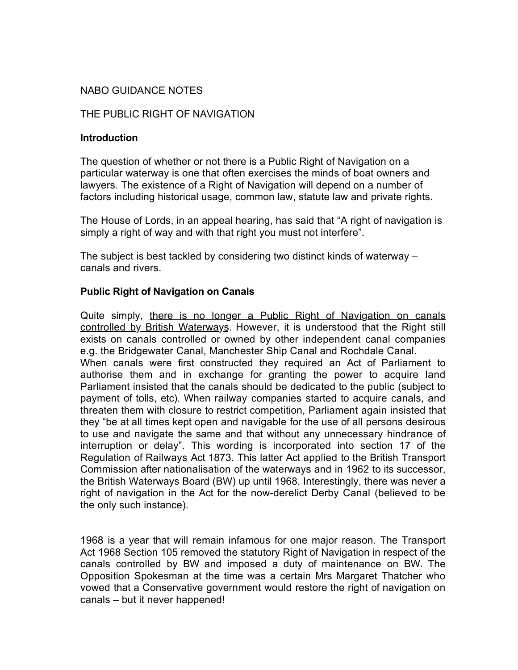## NABO GUIDANCE NOTES

### THE PUBLIC RIGHT OF NAVIGATION

#### **Introduction**

The question of whether or not there is a Public Right of Navigation on a particular waterway is one that often exercises the minds of boat owners and lawyers. The existence of a Right of Navigation will depend on a number of factors including historical usage, common law, statute law and private rights.

The House of Lords, in an appeal hearing, has said that "A right of navigation is simply a right of way and with that right you must not interfere".

The subject is best tackled by considering two distinct kinds of waterway – canals and rivers.

### **Public Right of Navigation on Canals**

Quite simply, there is no longer a Public Right of Navigation on canals controlled by British Waterways. However, it is understood that the Right still exists on canals controlled or owned by other independent canal companies e.g. the Bridgewater Canal, Manchester Ship Canal and Rochdale Canal. When canals were first constructed they required an Act of Parliament to authorise them and in exchange for granting the power to acquire land Parliament insisted that the canals should be dedicated to the public (subject to payment of tolls, etc). When railway companies started to acquire canals, and threaten them with closure to restrict competition, Parliament again insisted that they "be at all times kept open and navigable for the use of all persons desirous to use and navigate the same and that without any unnecessary hindrance of interruption or delay". This wording is incorporated into section 17 of the Regulation of Railways Act 1873. This latter Act applied to the British Transport Commission after nationalisation of the waterways and in 1962 to its successor, the British Waterways Board (BW) up until 1968. Interestingly, there was never a right of navigation in the Act for the now-derelict Derby Canal (believed to be the only such instance).

1968 is a year that will remain infamous for one major reason. The Transport Act 1968 Section 105 removed the statutory Right of Navigation in respect of the canals controlled by BW and imposed a duty of maintenance on BW. The Opposition Spokesman at the time was a certain Mrs Margaret Thatcher who vowed that a Conservative government would restore the right of navigation on canals – but it never happened!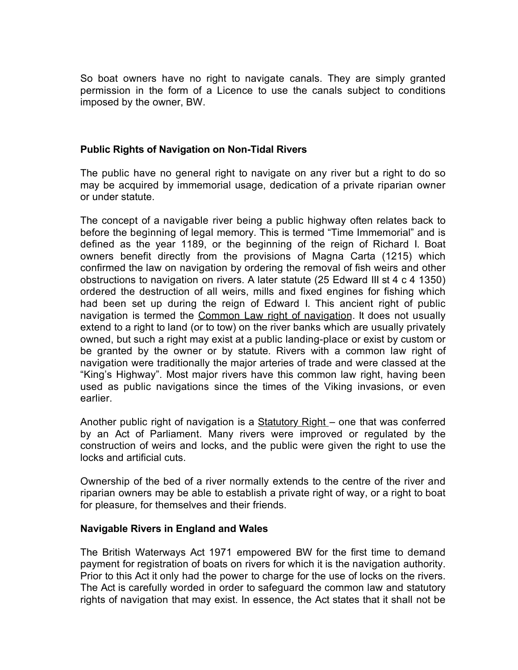So boat owners have no right to navigate canals. They are simply granted permission in the form of a Licence to use the canals subject to conditions imposed by the owner, BW.

### **Public Rights of Navigation on Non-Tidal Rivers**

The public have no general right to navigate on any river but a right to do so may be acquired by immemorial usage, dedication of a private riparian owner or under statute.

The concept of a navigable river being a public highway often relates back to before the beginning of legal memory. This is termed "Time Immemorial" and is defined as the year 1189, or the beginning of the reign of Richard I. Boat owners benefit directly from the provisions of Magna Carta (1215) which confirmed the law on navigation by ordering the removal of fish weirs and other obstructions to navigation on rivers. A later statute (25 Edward III st 4 c 4 1350) ordered the destruction of all weirs, mills and fixed engines for fishing which had been set up during the reign of Edward I. This ancient right of public navigation is termed the Common Law right of navigation. It does not usually extend to a right to land (or to tow) on the river banks which are usually privately owned, but such a right may exist at a public landing-place or exist by custom or be granted by the owner or by statute. Rivers with a common law right of navigation were traditionally the major arteries of trade and were classed at the "King's Highway". Most major rivers have this common law right, having been used as public navigations since the times of the Viking invasions, or even earlier.

Another public right of navigation is a **Statutory Right** – one that was conferred by an Act of Parliament. Many rivers were improved or regulated by the construction of weirs and locks, and the public were given the right to use the locks and artificial cuts.

Ownership of the bed of a river normally extends to the centre of the river and riparian owners may be able to establish a private right of way, or a right to boat for pleasure, for themselves and their friends.

#### **Navigable Rivers in England and Wales**

The British Waterways Act 1971 empowered BW for the first time to demand payment for registration of boats on rivers for which it is the navigation authority. Prior to this Act it only had the power to charge for the use of locks on the rivers. The Act is carefully worded in order to safeguard the common law and statutory rights of navigation that may exist. In essence, the Act states that it shall not be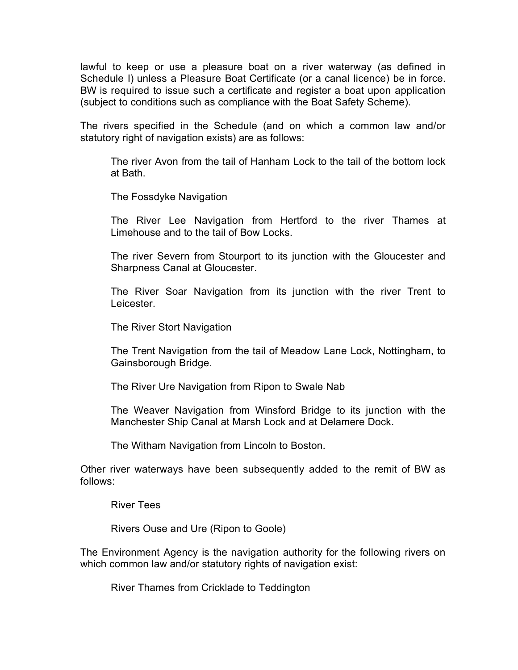lawful to keep or use a pleasure boat on a river waterway (as defined in Schedule I) unless a Pleasure Boat Certificate (or a canal licence) be in force. BW is required to issue such a certificate and register a boat upon application (subject to conditions such as compliance with the Boat Safety Scheme).

The rivers specified in the Schedule (and on which a common law and/or statutory right of navigation exists) are as follows:

The river Avon from the tail of Hanham Lock to the tail of the bottom lock at Bath.

The Fossdyke Navigation

The River Lee Navigation from Hertford to the river Thames at Limehouse and to the tail of Bow Locks.

The river Severn from Stourport to its junction with the Gloucester and Sharpness Canal at Gloucester.

The River Soar Navigation from its junction with the river Trent to Leicester.

The River Stort Navigation

The Trent Navigation from the tail of Meadow Lane Lock, Nottingham, to Gainsborough Bridge.

The River Ure Navigation from Ripon to Swale Nab

The Weaver Navigation from Winsford Bridge to its junction with the Manchester Ship Canal at Marsh Lock and at Delamere Dock.

The Witham Navigation from Lincoln to Boston.

Other river waterways have been subsequently added to the remit of BW as follows:

River Tees

Rivers Ouse and Ure (Ripon to Goole)

The Environment Agency is the navigation authority for the following rivers on which common law and/or statutory rights of navigation exist:

River Thames from Cricklade to Teddington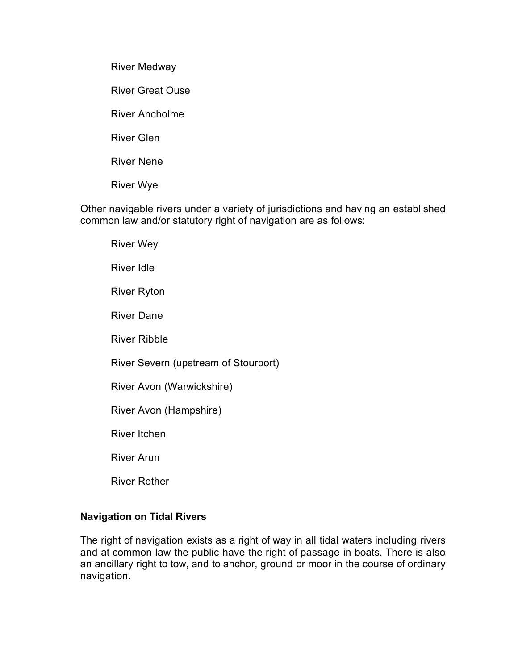River Medway

River Great Ouse

River Ancholme

River Glen

River Nene

River Wye

Other navigable rivers under a variety of jurisdictions and having an established common law and/or statutory right of navigation are as follows:

River Wey River Idle River Ryton River Dane River Ribble

River Severn (upstream of Stourport)

River Avon (Warwickshire)

River Avon (Hampshire)

River Itchen

River Arun

River Rother

### **Navigation on Tidal Rivers**

The right of navigation exists as a right of way in all tidal waters including rivers and at common law the public have the right of passage in boats. There is also an ancillary right to tow, and to anchor, ground or moor in the course of ordinary navigation.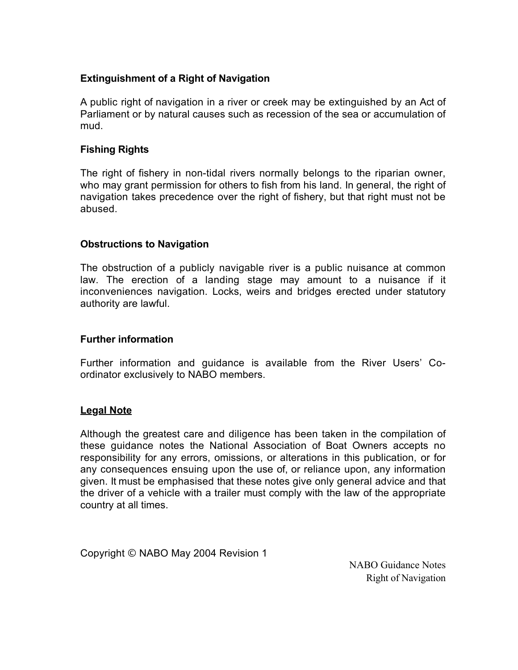# **Extinguishment of a Right of Navigation**

A public right of navigation in a river or creek may be extinguished by an Act of Parliament or by natural causes such as recession of the sea or accumulation of mud.

### **Fishing Rights**

The right of fishery in non-tidal rivers normally belongs to the riparian owner, who may grant permission for others to fish from his land. In general, the right of navigation takes precedence over the right of fishery, but that right must not be abused.

### **Obstructions to Navigation**

The obstruction of a publicly navigable river is a public nuisance at common law. The erection of a landing stage may amount to a nuisance if it inconveniences navigation. Locks, weirs and bridges erected under statutory authority are lawful.

### **Further information**

Further information and guidance is available from the River Users' Coordinator exclusively to NABO members.

# **Legal Note**

Although the greatest care and diligence has been taken in the compilation of these guidance notes the National Association of Boat Owners accepts no responsibility for any errors, omissions, or alterations in this publication, or for any consequences ensuing upon the use of, or reliance upon, any information given. It must be emphasised that these notes give only general advice and that the driver of a vehicle with a trailer must comply with the law of the appropriate country at all times.

Copyright © NABO May 2004 Revision 1

NABO Guidance Notes Right of Navigation